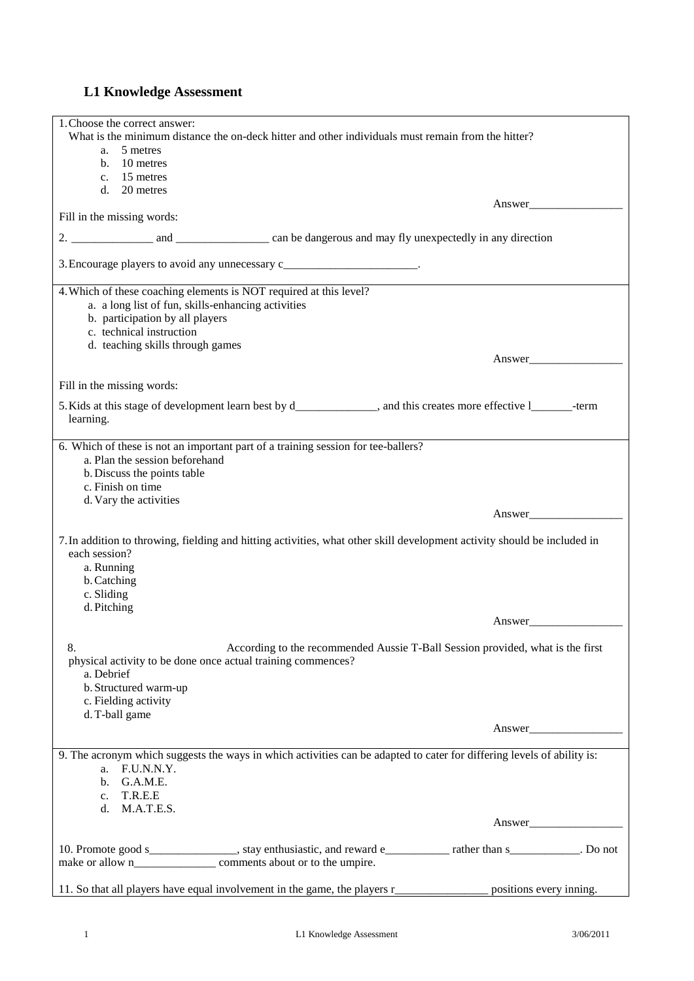## **L1 Knowledge Assessment**

| 1. Choose the correct answer:                                                                                                                        |        |
|------------------------------------------------------------------------------------------------------------------------------------------------------|--------|
| What is the minimum distance the on-deck hitter and other individuals must remain from the hitter?<br>5 metres<br>a.                                 |        |
| b. 10 metres                                                                                                                                         |        |
| c. 15 metres                                                                                                                                         |        |
| d. 20 metres                                                                                                                                         |        |
| Fill in the missing words:                                                                                                                           | Answer |
|                                                                                                                                                      |        |
|                                                                                                                                                      |        |
| 3. Encourage players to avoid any unnecessary c________________________.                                                                             |        |
| 4. Which of these coaching elements is NOT required at this level?                                                                                   |        |
| a. a long list of fun, skills-enhancing activities                                                                                                   |        |
| b. participation by all players<br>c. technical instruction                                                                                          |        |
| d. teaching skills through games                                                                                                                     |        |
|                                                                                                                                                      | Answer |
| Fill in the missing words:                                                                                                                           |        |
|                                                                                                                                                      |        |
| 5. Kids at this stage of development learn best by d_____________, and this creates more effective l________-term<br>learning.                       |        |
| 6. Which of these is not an important part of a training session for tee-ballers?                                                                    |        |
| a. Plan the session beforehand<br>b. Discuss the points table                                                                                        |        |
| c. Finish on time                                                                                                                                    |        |
| d. Vary the activities                                                                                                                               |        |
|                                                                                                                                                      | Answer |
| 7. In addition to throwing, fielding and hitting activities, what other skill development activity should be included in<br>each session?            |        |
| a. Running                                                                                                                                           |        |
| b. Catching                                                                                                                                          |        |
| c. Sliding                                                                                                                                           |        |
| d. Pitching                                                                                                                                          |        |
|                                                                                                                                                      | Answer |
| 8.<br>According to the recommended Aussie T-Ball Session provided, what is the first<br>physical activity to be done once actual training commences? |        |
| a. Debrief                                                                                                                                           |        |
| b. Structured warm-up<br>c. Fielding activity                                                                                                        |        |
| d. T-ball game                                                                                                                                       |        |
|                                                                                                                                                      | Answer |
|                                                                                                                                                      |        |
| 9. The acronym which suggests the ways in which activities can be adapted to cater for differing levels of ability is:<br>a. F.U.N.N.Y.              |        |
| b. G.A.M.E.                                                                                                                                          |        |
| c. T.R.E.E                                                                                                                                           |        |
| M.A.T.E.S.<br>d.                                                                                                                                     |        |
|                                                                                                                                                      | Answer |
| 10. Promote good s________________, stay enthusiastic, and reward e_____________ rather than s___________. Do not                                    |        |
|                                                                                                                                                      |        |
| 11. So that all players have equal involvement in the game, the players r___________________ positions every inning.                                 |        |